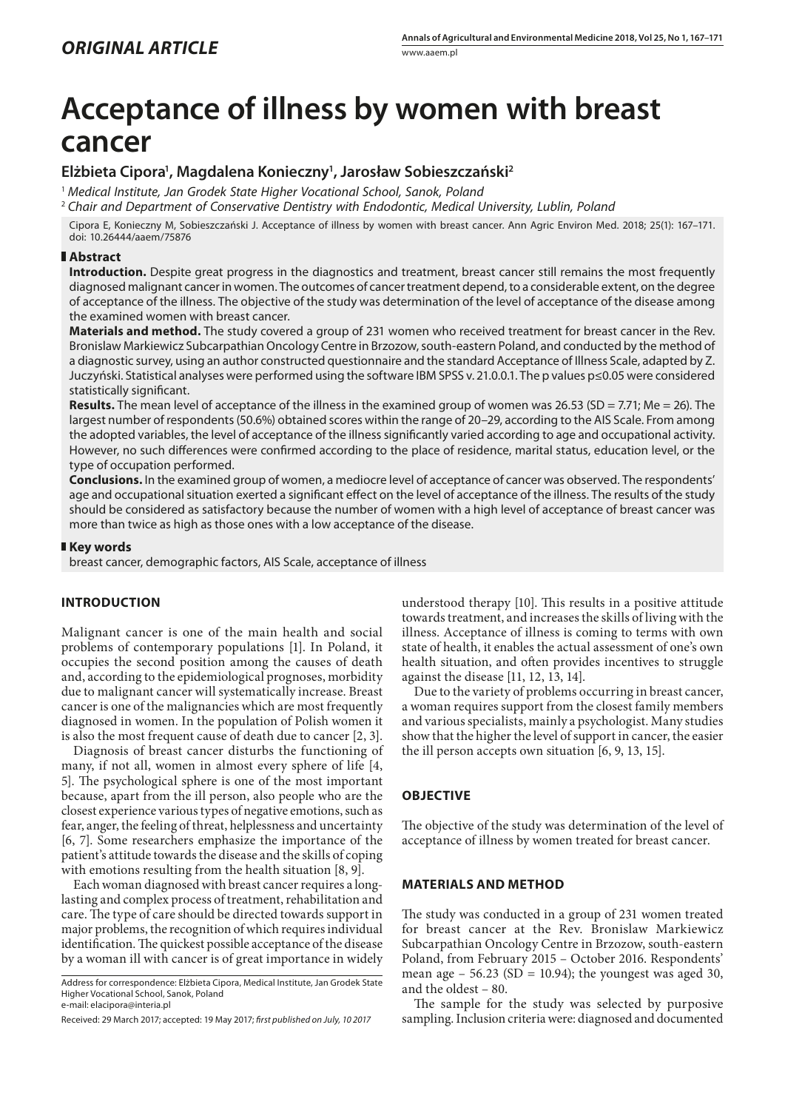# **Acceptance of illness by women with breast cancer**

# **Elżbieta Cipora1 , Magdalena Konieczny1 , Jarosław Sobieszczański2**

<sup>1</sup> *Medical Institute, Jan Grodek State Higher Vocational School, Sanok, Poland*

<sup>2</sup> *Chair and Department of Conservative Dentistry with Endodontic, Medical University, Lublin, Poland*

Cipora E, Konieczny M, Sobieszczański J. Acceptance of illness by women with breast cancer. Ann Agric Environ Med. 2018; 25(1): 167–171. doi: 10.26444/aaem/75876

# **Abstract**

**Introduction.** Despite great progress in the diagnostics and treatment, breast cancer still remains the most frequently diagnosed malignant cancer in women. The outcomes of cancer treatment depend, to a considerable extent, on the degree of acceptance of the illness. The objective of the study was determination of the level of acceptance of the disease among the examined women with breast cancer.

**Materials and method.** The study covered a group of 231 women who received treatment for breast cancer in the Rev. Bronislaw Markiewicz Subcarpathian Oncology Centre in Brzozow, south-eastern Poland, and conducted by the method of a diagnostic survey, using an author constructed questionnaire and the standard Acceptance of Illness Scale, adapted by Z. Juczyński. Statistical analyses were performed using the software IBM SPSS v. 21.0.0.1. The p values p≤0.05 were considered statistically significant.

**Results.** The mean level of acceptance of the illness in the examined group of women was 26.53 (SD = 7.71; Me = 26). The largest number of respondents (50.6%) obtained scores within the range of 20–29, according to the AIS Scale. From among the adopted variables, the level of acceptance of the illness significantly varied according to age and occupational activity. However, no such differences were confirmed according to the place of residence, marital status, education level, or the type of occupation performed.

**Conclusions.** In the examined group of women, a mediocre level of acceptance of cancer was observed. The respondents' age and occupational situation exerted a significant effect on the level of acceptance of the illness. The results of the study should be considered as satisfactory because the number of women with a high level of acceptance of breast cancer was more than twice as high as those ones with a low acceptance of the disease.

# **Key words**

breast cancer, demographic factors, AIS Scale, acceptance of illness

# **INTRODUCTION**

Malignant cancer is one of the main health and social problems of contemporary populations [1]. In Poland, it occupies the second position among the causes of death and, according to the epidemiological prognoses, morbidity due to malignant cancer will systematically increase. Breast cancer is one of the malignancies which are most frequently diagnosed in women. In the population of Polish women it is also the most frequent cause of death due to cancer [2, 3].

Diagnosis of breast cancer disturbs the functioning of many, if not all, women in almost every sphere of life [4, 5]. The psychological sphere is one of the most important because, apart from the ill person, also people who are the closest experience various types of negative emotions, such as fear, anger, the feeling of threat, helplessness and uncertainty [6, 7]. Some researchers emphasize the importance of the patient's attitude towards the disease and the skills of coping with emotions resulting from the health situation [8, 9].

Each woman diagnosed with breast cancer requires a longlasting and complex process of treatment, rehabilitation and care. The type of care should be directed towards support in major problems, the recognition of which requires individual identification. The quickest possible acceptance of the disease by a woman ill with cancer is of great importance in widely understood therapy [10]. This results in a positive attitude towards treatment, and increases the skills of living with the illness. Acceptance of illness is coming to terms with own state of health, it enables the actual assessment of one's own health situation, and often provides incentives to struggle against the disease [11, 12, 13, 14].

Due to the variety of problems occurring in breast cancer, a woman requires support from the closest family members and various specialists, mainly a psychologist. Many studies show that the higher the level of support in cancer, the easier the ill person accepts own situation [6, 9, 13, 15].

# **OBJECTIVE**

The objective of the study was determination of the level of acceptance of illness by women treated for breast cancer.

#### **MATERIALS AND METHOD**

The study was conducted in a group of 231 women treated for breast cancer at the Rev. Bronislaw Markiewicz Subcarpathian Oncology Centre in Brzozow, south-eastern Poland, from February 2015 – October 2016. Respondents' mean age  $-56.23$  (SD = 10.94); the youngest was aged 30, and the oldest – 80.

The sample for the study was selected by purposive sampling. Inclusion criteria were: diagnosed and documented

Address for correspondence: Elżbieta Cipora, Medical Institute, Jan Grodek State Higher Vocational School, Sanok, Poland e-mail: elacipora@interia.pl

Received: 29 March 2017; accepted: 19 May 2017; *first published on July, 10 2017*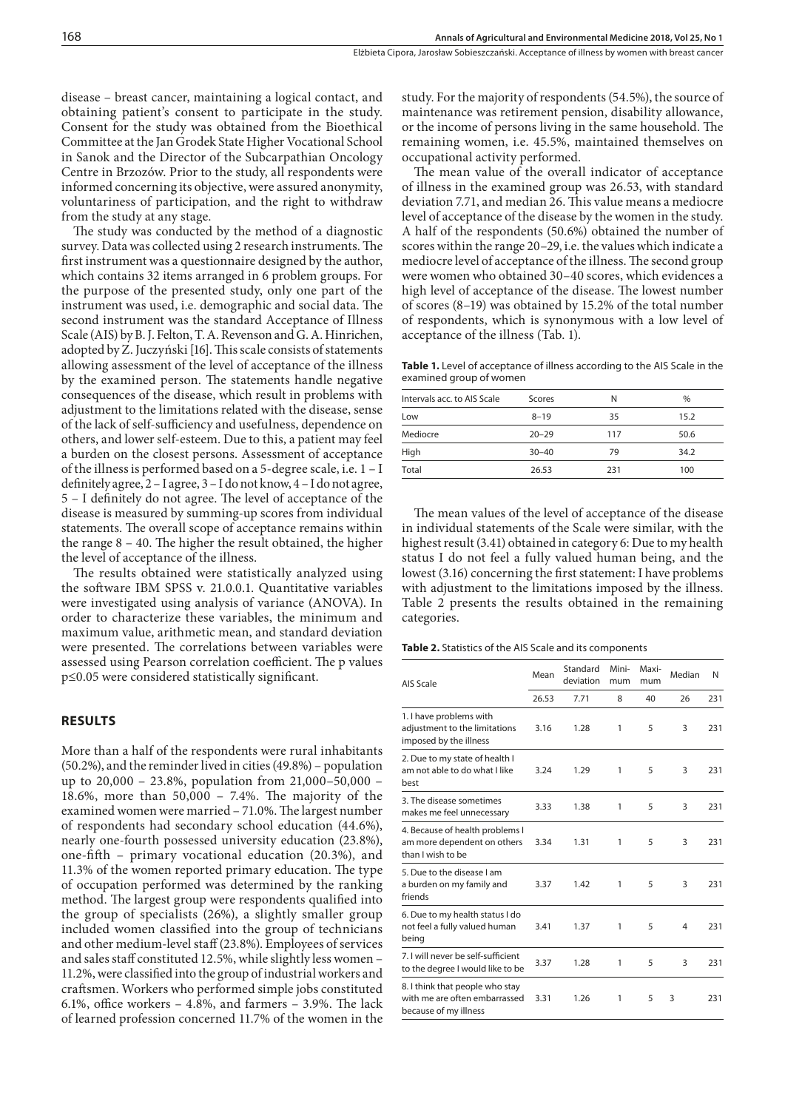disease – breast cancer, maintaining a logical contact, and obtaining patient's consent to participate in the study. Consent for the study was obtained from the Bioethical Committee at the Jan Grodek State Higher Vocational School in Sanok and the Director of the Subcarpathian Oncology Centre in Brzozów. Prior to the study, all respondents were informed concerning its objective, were assured anonymity, voluntariness of participation, and the right to withdraw from the study at any stage.

The study was conducted by the method of a diagnostic survey. Data was collected using 2 research instruments. The first instrument was a questionnaire designed by the author, which contains 32 items arranged in 6 problem groups. For the purpose of the presented study, only one part of the instrument was used, i.e. demographic and social data. The second instrument was the standard Acceptance of Illness Scale (AIS) by B. J. Felton, T. A. Revenson and G. A. Hinrichen, adopted by Z. Juczyński [16]. This scale consists of statements allowing assessment of the level of acceptance of the illness by the examined person. The statements handle negative consequences of the disease, which result in problems with adjustment to the limitations related with the disease, sense of the lack of self-sufficiency and usefulness, dependence on others, and lower self-esteem. Due to this, a patient may feel a burden on the closest persons. Assessment of acceptance of the illness is performed based on a 5-degree scale, i.e. 1 – I definitely agree, 2 – I agree, 3 – I do not know, 4 – I do not agree, 5 – I definitely do not agree. The level of acceptance of the disease is measured by summing-up scores from individual statements. The overall scope of acceptance remains within the range 8 – 40. The higher the result obtained, the higher the level of acceptance of the illness.

The results obtained were statistically analyzed using the software IBM SPSS v. 21.0.0.1. Quantitative variables were investigated using analysis of variance (ANOVA). In order to characterize these variables, the minimum and maximum value, arithmetic mean, and standard deviation were presented. The correlations between variables were assessed using Pearson correlation coefficient. The p values p≤0.05 were considered statistically significant.

### **RESULTS**

More than a half of the respondents were rural inhabitants (50.2%), and the reminder lived in cities (49.8%) – population up to 20,000 – 23.8%, population from 21,000–50,000 – 18.6%, more than 50,000 – 7.4%. The majority of the examined women were married – 71.0%. The largest number of respondents had secondary school education (44.6%), nearly one-fourth possessed university education (23.8%), one-fifth – primary vocational education (20.3%), and 11.3% of the women reported primary education. The type of occupation performed was determined by the ranking method. The largest group were respondents qualified into the group of specialists (26%), a slightly smaller group included women classified into the group of technicians and other medium-level staff (23.8%). Employees of services and sales staff constituted 12.5%, while slightly less women – 11.2%, were classified into the group of industrial workers and craftsmen. Workers who performed simple jobs constituted 6.1%, office workers – 4.8%, and farmers – 3.9%. The lack of learned profession concerned 11.7% of the women in the study. For the majority of respondents (54.5%), the source of maintenance was retirement pension, disability allowance, or the income of persons living in the same household. The remaining women, i.e. 45.5%, maintained themselves on occupational activity performed.

The mean value of the overall indicator of acceptance of illness in the examined group was 26.53, with standard deviation 7.71, and median 26. This value means a mediocre level of acceptance of the disease by the women in the study. A half of the respondents (50.6%) obtained the number of scores within the range 20–29, i.e. the values which indicate a mediocre level of acceptance of the illness. The second group were women who obtained 30–40 scores, which evidences a high level of acceptance of the disease. The lowest number of scores (8–19) was obtained by 15.2% of the total number of respondents, which is synonymous with a low level of acceptance of the illness (Tab. 1).

Table 1. Level of acceptance of illness according to the AIS Scale in the examined group of women

| Intervals acc. to AIS Scale | Scores    | N   | $\frac{0}{0}$ |
|-----------------------------|-----------|-----|---------------|
| Low                         | $8 - 19$  | 35  | 15.2          |
| Mediocre                    | $20 - 29$ | 117 | 50.6          |
| High                        | $30 - 40$ | 79  | 34.2          |
| Total                       | 26.53     | 231 | 100           |
|                             |           |     |               |

The mean values of the level of acceptance of the disease in individual statements of the Scale were similar, with the highest result (3.41) obtained in category 6: Due to my health status I do not feel a fully valued human being, and the lowest (3.16) concerning the first statement: I have problems with adjustment to the limitations imposed by the illness. Table 2 presents the results obtained in the remaining categories.

| Table 2. Statistics of the AIS Scale and its components |
|---------------------------------------------------------|
|---------------------------------------------------------|

| AIS Scale                                                                                 | Mean  | Standard<br>deviation | Mini-<br>mum | Maxi-<br>mum | Median | N   |
|-------------------------------------------------------------------------------------------|-------|-----------------------|--------------|--------------|--------|-----|
|                                                                                           | 26.53 | 7.71                  | 8            | 40           | 26     | 231 |
| 1. I have problems with<br>adjustment to the limitations<br>imposed by the illness        | 3.16  | 1.28                  | 1            | 5            | 3      | 231 |
| 2. Due to my state of health I<br>am not able to do what I like<br>best                   | 3.24  | 1.29                  | 1            | 5            | 3      | 231 |
| 3. The disease sometimes<br>makes me feel unnecessary                                     | 3.33  | 1.38                  | 1            | 5            | 3      | 231 |
| 4. Because of health problems I<br>am more dependent on others<br>than I wish to be       | 3.34  | 1.31                  | 1            | 5            | 3      | 231 |
| 5. Due to the disease I am<br>a burden on my family and<br>friends                        | 3.37  | 1.42                  | 1            | 5            | 3      | 231 |
| 6. Due to my health status I do<br>not feel a fully valued human<br>being                 | 3.41  | 1.37                  | 1            | 5            | 4      | 231 |
| 7. I will never be self-sufficient<br>to the degree I would like to be                    | 3.37  | 1.28                  | 1            | 5            | 3      | 231 |
| 8. I think that people who stay<br>with me are often embarrassed<br>because of my illness | 3.31  | 1.26                  | 1            | 5            | 3      | 231 |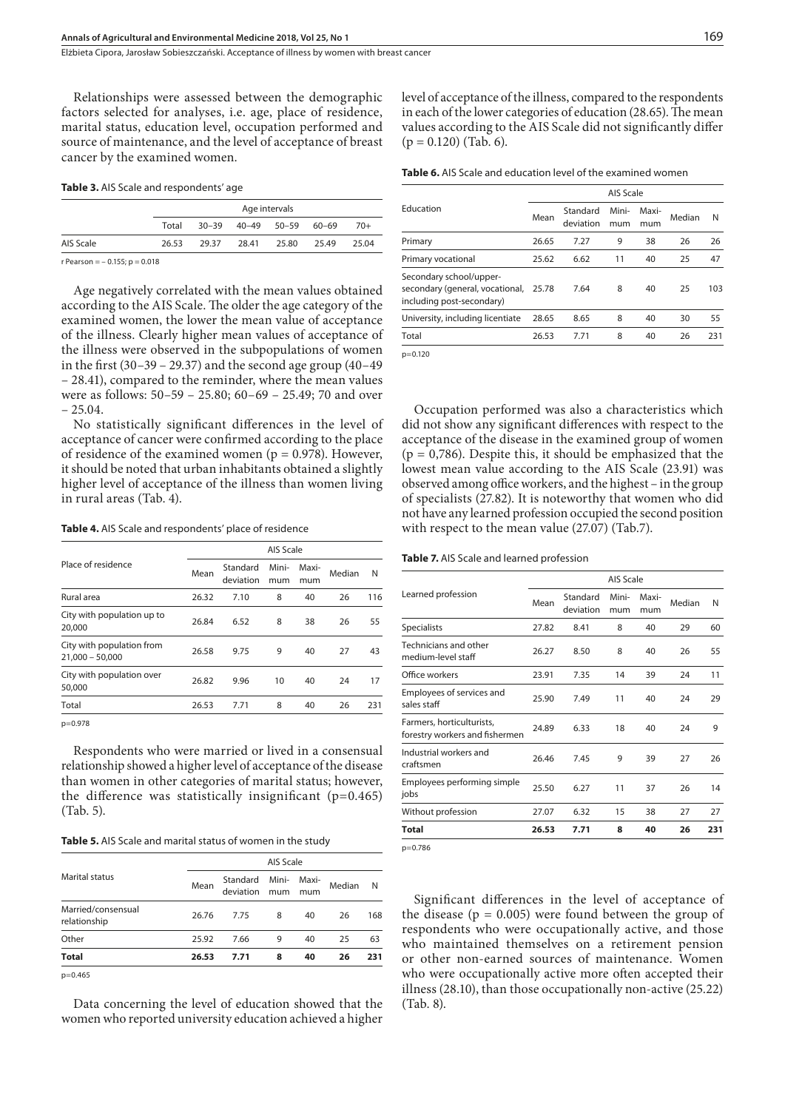Elżbieta Cipora, Jarosław Sobieszczański . Acceptance of illness by women with breast cancer

Relationships were assessed between the demographic factors selected for analyses, i.e. age, place of residence, marital status, education level, occupation performed and source of maintenance, and the level of acceptance of breast cancer by the examined women.

| Table 3. AIS Scale and respondents' age |  |  |
|-----------------------------------------|--|--|
|-----------------------------------------|--|--|

|           |       |       |                                 | Age intervals |       |       |
|-----------|-------|-------|---------------------------------|---------------|-------|-------|
|           | Total |       | $30-39$ $40-49$ $50-59$ $60-69$ |               |       | $70+$ |
| AIS Scale | 26.53 | 29.37 | 28.41                           | 25.80         | 25.49 | 25.04 |

 $r$  Pearson = - 0.155;  $p = 0.018$ 

Age negatively correlated with the mean values obtained according to the AIS Scale. The older the age category of the examined women, the lower the mean value of acceptance of the illness. Clearly higher mean values of acceptance of the illness were observed in the subpopulations of women in the first  $(30-39 - 29.37)$  and the second age group  $(40-49)$ – 28.41), compared to the reminder, where the mean values were as follows: 50–59 – 25.80; 60–69 – 25.49; 70 and over – 25.04.

No statistically significant differences in the level of acceptance of cancer were confirmed according to the place of residence of the examined women ( $p = 0.978$ ). However, it should be noted that urban inhabitants obtained a slightly higher level of acceptance of the illness than women living in rural areas (Tab. 4).

**Table 4.** AIS Scale and respondents' place of residence

|                                                |       | AIS Scale             |              |              |        |     |  |
|------------------------------------------------|-------|-----------------------|--------------|--------------|--------|-----|--|
| Place of residence                             | Mean  | Standard<br>deviation | Mini-<br>mum | Maxi-<br>mum | Median | N   |  |
| Rural area                                     | 26.32 | 7.10                  | 8            | 40           | 26     | 116 |  |
| City with population up to<br>20,000           | 26.84 | 6.52                  | 8            | 38           | 26     | 55  |  |
| City with population from<br>$21.000 - 50.000$ | 26.58 | 9.75                  | 9            | 40           | 27     | 43  |  |
| City with population over<br>50,000            | 26.82 | 9.96                  | 10           | 40           | 24     | 17  |  |
| Total                                          | 26.53 | 7.71                  | 8            | 40           | 26     | 231 |  |
|                                                |       |                       |              |              |        |     |  |

p=0.978

Respondents who were married or lived in a consensual relationship showed a higher level of acceptance of the disease than women in other categories of marital status; however, the difference was statistically insignificant  $(p=0.465)$ (Tab. 5).

**Table 5.** AIS Scale and marital status of women in the study

|                                    |       | AIS Scale                       |   |              |        |     |  |  |  |
|------------------------------------|-------|---------------------------------|---|--------------|--------|-----|--|--|--|
| <b>Marital status</b>              | Mean  | Standard Mini-<br>deviation mum |   | Maxi-<br>mum | Median | N   |  |  |  |
| Married/consensual<br>relationship | 26.76 | 7.75                            | 8 | 40           | 26     | 168 |  |  |  |
| Other                              | 25.92 | 7.66                            | 9 | 40           | 25     | 63  |  |  |  |
| <b>Total</b>                       | 26.53 | 7.71                            | 8 | 40           | 26     | 231 |  |  |  |
| $m - 0$ $ACF$                      |       |                                 |   |              |        |     |  |  |  |

p=0.465

Data concerning the level of education showed that the women who reported university education achieved a higher level of acceptance of the illness, compared to the respondents in each of the lower categories of education (28.65). The mean values according to the AIS Scale did not significantly differ  $(p = 0.120)$  (Tab. 6).

**Table 6.** AIS Scale and education level of the examined women

|                                                                                         | AIS Scale |                       |              |              |        |     |  |
|-----------------------------------------------------------------------------------------|-----------|-----------------------|--------------|--------------|--------|-----|--|
| Education                                                                               | Mean      | Standard<br>deviation | Mini-<br>mum | Maxi-<br>mum | Median | N   |  |
| Primary                                                                                 | 26.65     | 7.27                  | 9            | 38           | 26     | 26  |  |
| Primary vocational                                                                      | 25.62     | 6.62                  | 11           | 40           | 25     | 47  |  |
| Secondary school/upper-<br>secondary (general, vocational,<br>including post-secondary) | 25.78     | 7.64                  | 8            | 40           | 25     | 103 |  |
| University, including licentiate                                                        | 28.65     | 8.65                  | 8            | 40           | 30     | 55  |  |
| Total                                                                                   | 26.53     | 7.71                  | 8            | 40           | 26     | 231 |  |
|                                                                                         |           |                       |              |              |        |     |  |

p=0.120

Occupation performed was also a characteristics which did not show any significant differences with respect to the acceptance of the disease in the examined group of women  $(p = 0.786)$ . Despite this, it should be emphasized that the lowest mean value according to the AIS Scale (23.91) was observed among office workers, and the highest – in the group of specialists (27.82). It is noteworthy that women who did not have any learned profession occupied the second position with respect to the mean value (27.07) (Tab.7).

#### **Table 7.** AIS Scale and learned profession

|                                                             | <b>AIS Scale</b> |                       |              |              |        |     |  |
|-------------------------------------------------------------|------------------|-----------------------|--------------|--------------|--------|-----|--|
| Learned profession                                          | Mean             | Standard<br>deviation | Mini-<br>mum | Maxi-<br>mum | Median | N   |  |
| <b>Specialists</b>                                          | 27.82            | 8.41                  | 8            | 40           | 29     | 60  |  |
| Technicians and other<br>medium-level staff                 | 26.27            | 8.50                  | 8            | 40           | 26     | 55  |  |
| Office workers                                              | 23.91            | 7.35                  | 14           | 39           | 24     | 11  |  |
| Employees of services and<br>sales staff                    | 25.90            | 7.49                  | 11           | 40           | 24     | 29  |  |
| Farmers, horticulturists,<br>forestry workers and fishermen | 24.89            | 6.33                  | 18           | 40           | 24     | 9   |  |
| Industrial workers and<br>craftsmen                         | 26.46            | 7.45                  | 9            | 39           | 27     | 26  |  |
| Employees performing simple<br>jobs                         | 25.50            | 6.27                  | 11           | 37           | 26     | 14  |  |
| Without profession                                          | 27.07            | 6.32                  | 15           | 38           | 27     | 27  |  |
| Total                                                       | 26.53            | 7.71                  | 8            | 40           | 26     | 231 |  |

p=0.786

Significant differences in the level of acceptance of the disease ( $p = 0.005$ ) were found between the group of respondents who were occupationally active, and those who maintained themselves on a retirement pension or other non-earned sources of maintenance. Women who were occupationally active more often accepted their illness (28.10), than those occupationally non-active (25.22) (Tab. 8).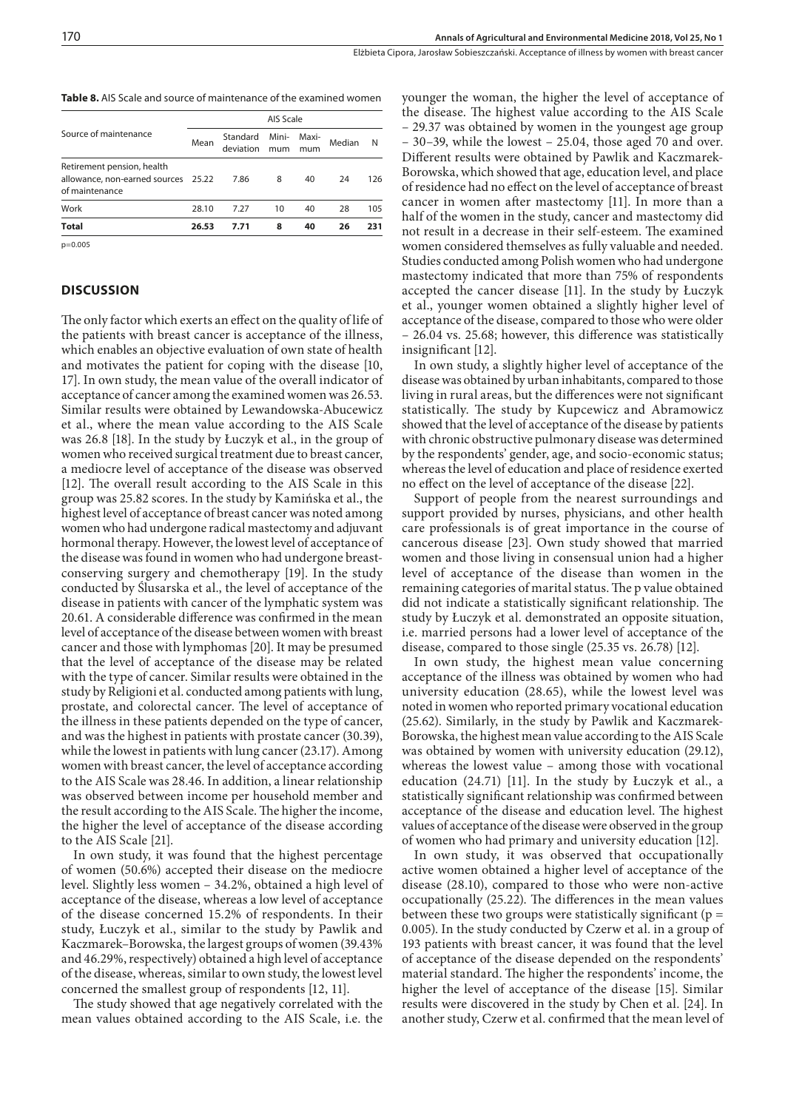**Table 8.** AIS Scale and source of maintenance of the examined women

|                                                                                     | AIS Scale |                       |              |              |        |     |  |
|-------------------------------------------------------------------------------------|-----------|-----------------------|--------------|--------------|--------|-----|--|
| Source of maintenance                                                               | Mean      | Standard<br>deviation | Mini-<br>mum | Maxi-<br>mum | Median | N   |  |
| Retirement pension, health<br>allowance, non-earned sources 25.22<br>of maintenance |           | 7.86                  | 8            | 40           | 24     | 126 |  |
| Work                                                                                | 28.10     | 7.27                  | 10           | 40           | 28     | 105 |  |
| <b>Total</b>                                                                        | 26.53     | 7.71                  | 8            | 40           | 26     | 231 |  |

p=0.005

## **DISCUSSION**

The only factor which exerts an effect on the quality of life of the patients with breast cancer is acceptance of the illness, which enables an objective evaluation of own state of health and motivates the patient for coping with the disease [10, 17]. In own study, the mean value of the overall indicator of acceptance of cancer among the examined women was 26.53. Similar results were obtained by Lewandowska-Abucewicz et al., where the mean value according to the AIS Scale was 26.8 [18]. In the study by Łuczyk et al., in the group of women who received surgical treatment due to breast cancer, a mediocre level of acceptance of the disease was observed [12]. The overall result according to the AIS Scale in this group was 25.82 scores. In the study by Kamińska et al., the highest level of acceptance of breast cancer was noted among women who had undergone radical mastectomy and adjuvant hormonal therapy. However, the lowest level of acceptance of the disease was found in women who had undergone breastconserving surgery and chemotherapy [19]. In the study conducted by Ślusarska et al., the level of acceptance of the disease in patients with cancer of the lymphatic system was 20.61. A considerable difference was confirmed in the mean level of acceptance of the disease between women with breast cancer and those with lymphomas [20]. It may be presumed that the level of acceptance of the disease may be related with the type of cancer. Similar results were obtained in the study by Religioni et al. conducted among patients with lung, prostate, and colorectal cancer. The level of acceptance of the illness in these patients depended on the type of cancer, and was the highest in patients with prostate cancer (30.39), while the lowest in patients with lung cancer (23.17). Among women with breast cancer, the level of acceptance according to the AIS Scale was 28.46. In addition, a linear relationship was observed between income per household member and the result according to the AIS Scale. The higher the income, the higher the level of acceptance of the disease according to the AIS Scale [21].

In own study, it was found that the highest percentage of women (50.6%) accepted their disease on the mediocre level. Slightly less women – 34.2%, obtained a high level of acceptance of the disease, whereas a low level of acceptance of the disease concerned 15.2% of respondents. In their study, Łuczyk et al., similar to the study by Pawlik and Kaczmarek–Borowska, the largest groups of women (39.43% and 46.29%, respectively) obtained a high level of acceptance of the disease, whereas, similar to own study, the lowest level concerned the smallest group of respondents [12, 11].

The study showed that age negatively correlated with the mean values obtained according to the AIS Scale, i.e. the

younger the woman, the higher the level of acceptance of the disease. The highest value according to the AIS Scale – 29.37 was obtained by women in the youngest age group – 30–39, while the lowest – 25.04, those aged 70 and over. Different results were obtained by Pawlik and Kaczmarek-Borowska, which showed that age, education level, and place of residence had no effect on the level of acceptance of breast cancer in women after mastectomy [11]. In more than a half of the women in the study, cancer and mastectomy did not result in a decrease in their self-esteem. The examined women considered themselves as fully valuable and needed. Studies conducted among Polish women who had undergone mastectomy indicated that more than 75% of respondents accepted the cancer disease [11]. In the study by Łuczyk et al., younger women obtained a slightly higher level of acceptance of the disease, compared to those who were older – 26.04 vs. 25.68; however, this difference was statistically insignificant [12].

In own study, a slightly higher level of acceptance of the disease was obtained by urban inhabitants, compared to those living in rural areas, but the differences were not significant statistically. The study by Kupcewicz and Abramowicz showed that the level of acceptance of the disease by patients with chronic obstructive pulmonary disease was determined by the respondents' gender, age, and socio-economic status; whereas the level of education and place of residence exerted no effect on the level of acceptance of the disease [22].

Support of people from the nearest surroundings and support provided by nurses, physicians, and other health care professionals is of great importance in the course of cancerous disease [23]. Own study showed that married women and those living in consensual union had a higher level of acceptance of the disease than women in the remaining categories of marital status. The p value obtained did not indicate a statistically significant relationship. The study by Łuczyk et al. demonstrated an opposite situation, i.e. married persons had a lower level of acceptance of the disease, compared to those single (25.35 vs. 26.78) [12].

In own study, the highest mean value concerning acceptance of the illness was obtained by women who had university education (28.65), while the lowest level was noted in women who reported primary vocational education (25.62). Similarly, in the study by Pawlik and Kaczmarek-Borowska, the highest mean value according to the AIS Scale was obtained by women with university education (29.12), whereas the lowest value – among those with vocational education (24.71) [11]. In the study by Łuczyk et al., a statistically significant relationship was confirmed between acceptance of the disease and education level. The highest values of acceptance of the disease were observed in the group of women who had primary and university education [12].

In own study, it was observed that occupationally active women obtained a higher level of acceptance of the disease (28.10), compared to those who were non-active occupationally (25.22). The differences in the mean values between these two groups were statistically significant ( $p =$ 0.005). In the study conducted by Czerw et al. in a group of 193 patients with breast cancer, it was found that the level of acceptance of the disease depended on the respondents' material standard. The higher the respondents' income, the higher the level of acceptance of the disease [15]. Similar results were discovered in the study by Chen et al. [24]. In another study, Czerw et al. confirmed that the mean level of